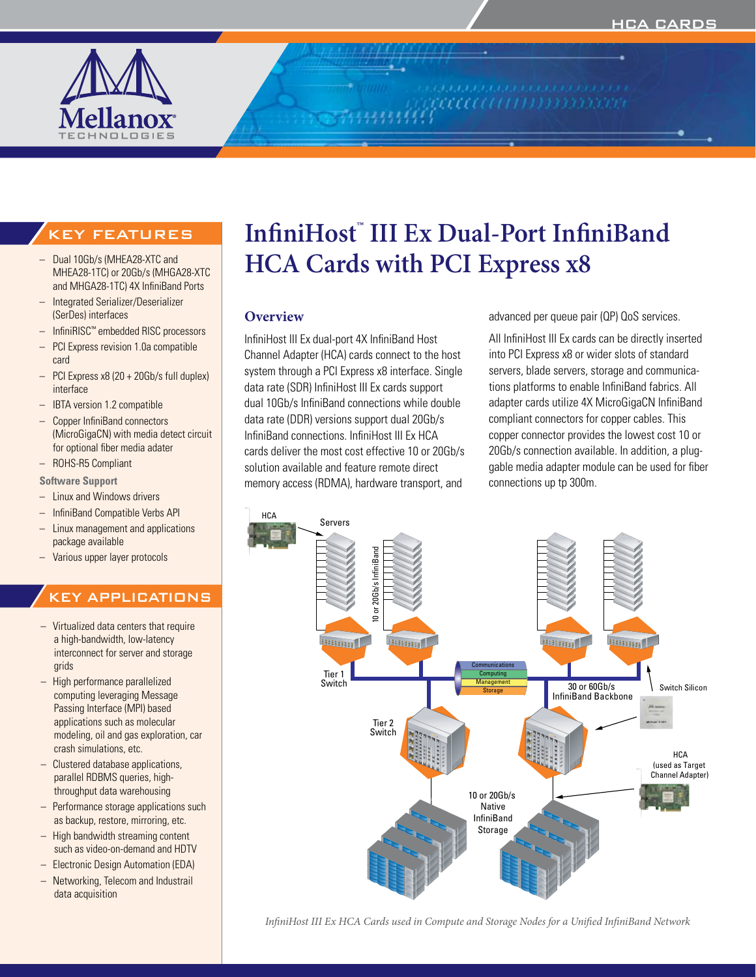

KEY FEATURES

- Dual 10Gb/s (MHEA28-XTC and MHEA28-1TC) or 20Gb/s (MHGA28-XTC and MHGA28-1TC) 4X InfiniBand Ports
- Integrated Serializer/Deserializer (SerDes) interfaces
- InfiniRISC<sup>™</sup> embedded RISC processors
- PCI Express revision 1.0a compatible card
- $-$  PCI Express x8 (20 + 20Gb/s full duplex) interface
- IBTA version 1.2 compatible
- Copper InfiniBand connectors (MicroGigaCN) with media detect circuit for optional fiber media adater
- – ROHS-R5 Compliant

#### **Software Support**

- Linux and Windows drivers
- – InfiniBand Compatible Verbs API
- Linux management and applications package available
- Various upper layer protocols

# KEY APPLICATIONS

- $-$  Virtualized data centers that require a high-bandwidth, low-latency interconnect for server and storage grids
- – High performance parallelized computing leveraging Message Passing Interface (MPI) based applications such as molecular modeling, oil and gas exploration, car crash simulations, etc.
- Clustered database applications, parallel RDBMS queries, highthroughput data warehousing
- Performance storage applications such as backup, restore, mirroring, etc.
- $-$  High bandwidth streaming content such as video-on-demand and HDTV
- – Electronic Design Automation (EDA)
- Networking, Telecom and Industrail data acquisition

# **InfiniHost™ III Ex Dual-Port InfiniBand HCA Cards with PCI Express x8**

### **Overview**

InfiniHost III Ex dual-port 4X InfiniBand Host Channel Adapter (HCA) cards connect to the host system through a PCI Express x8 interface. Single data rate (SDR) InfiniHost III Ex cards support dual 10Gb/s InfiniBand connections while double data rate (DDR) versions support dual 20Gb/s InfiniBand connections. InfiniHost III Ex HCA cards deliver the most cost effective 10 or 20Gb/s solution available and feature remote direct memory access (RDMA), hardware transport, and

advanced per queue pair (QP) QoS services.

All InfiniHost III Ex cards can be directly inserted into PCI Express x8 or wider slots of standard servers, blade servers, storage and communications platforms to enable InfiniBand fabrics. All adapter cards utilize 4X MicroGigaCN InfiniBand compliant connectors for copper cables. This copper connector provides the lowest cost 10 or 20Gb/s connection available. In addition, a pluggable media adapter module can be used for fiber connections up tp 300m.